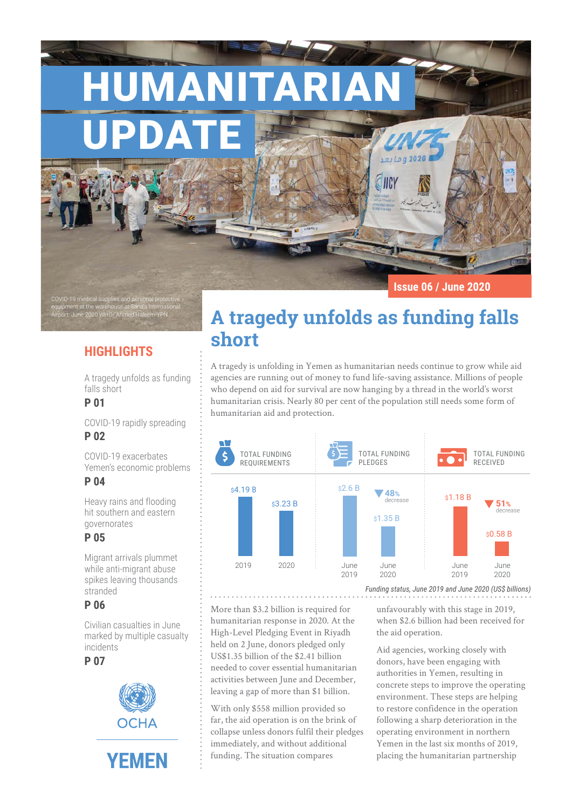HUMANITARIAN

UPDATE

**Issue 06 / June 2020**

# **HIGHLIGHTS**

equipment at the warehouse at Sana'a International Airport. June 2020 WHO/ Ahmed Haleem-YPN

A tragedy unfolds as funding falls short

## **P 01**

COVID-19 medical supplies and pe

COVID-19 rapidly spreading **P 02**

COVID-19 exacerbates Yemen's economic problems

## **P 04**

Heavy rains and flooding hit southern and eastern governorates

## **P 05**

Migrant arrivals plummet while anti-migrant abuse spikes leaving thousands stranded

## **P 06**

Civilian casualties in June marked by multiple casualty incidents

**P 07**



# **A tragedy unfolds as funding falls short**

**SINCY** 

A tragedy is unfolding in Yemen as humanitarian needs continue to grow while aid agencies are running out of money to fund life-saving assistance. Millions of people who depend on aid for survival are now hanging by a thread in the world's worst humanitarian crisis. Nearly 80 per cent of the population still needs some form of humanitarian aid and protection.



More than \$3.2 billion is required for humanitarian response in 2020. At the High-Level Pledging Event in Riyadh held on 2 June, donors pledged only US\$1.35 billion of the \$2.41 billion needed to cover essential humanitarian activities between June and December, leaving a gap of more than \$1 billion.

With only \$558 million provided so far, the aid operation is on the brink of collapse unless donors fulfil their pledges immediately, and without additional funding. The situation compares

unfavourably with this stage in 2019,

when \$2.6 billion had been received for the aid operation.

Aid agencies, working closely with donors, have been engaging with authorities in Yemen, resulting in concrete steps to improve the operating environment. These steps are helping to restore confidence in the operation following a sharp deterioration in the operating environment in northern Yemen in the last six months of 2019, placing the humanitarian partnership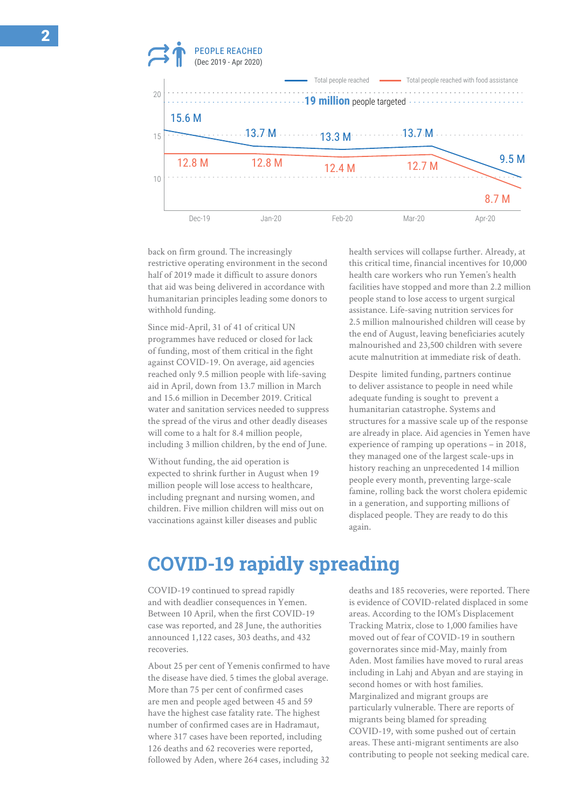

back on firm ground. The increasingly restrictive operating environment in the second half of 2019 made it difficult to assure donors that aid was being delivered in accordance with humanitarian principles leading some donors to withhold funding.

Since mid-April, 31 of 41 of critical UN programmes have reduced or closed for lack of funding, most of them critical in the fight against COVID-19. On average, aid agencies reached only 9.5 million people with life-saving aid in April, down from 13.7 million in March and 15.6 million in December 2019. Critical water and sanitation services needed to suppress the spread of the virus and other deadly diseases will come to a halt for 8.4 million people, including 3 million children, by the end of June.

Without funding, the aid operation is expected to shrink further in August when 19 million people will lose access to healthcare, including pregnant and nursing women, and children. Five million children will miss out on vaccinations against killer diseases and public

health services will collapse further. Already, at this critical time, financial incentives for 10,000 health care workers who run Yemen's health facilities have stopped and more than 2.2 million people stand to lose access to urgent surgical assistance. Life-saving nutrition services for 2.5 million malnourished children will cease by the end of August, leaving beneficiaries acutely malnourished and 23,500 children with severe acute malnutrition at immediate risk of death.

Despite limited funding, partners continue to deliver assistance to people in need while adequate funding is sought to prevent a humanitarian catastrophe. Systems and structures for a massive scale up of the response are already in place. Aid agencies in Yemen have experience of ramping up operations – in 2018, they managed one of the largest scale-ups in history reaching an unprecedented 14 million people every month, preventing large-scale famine, rolling back the worst cholera epidemic in a generation, and supporting millions of displaced people. They are ready to do this again.

# **COVID-19 rapidly spreading**

COVID-19 continued to spread rapidly and with deadlier consequences in Yemen. Between 10 April, when the first COVID-19 case was reported, and 28 June, the authorities announced 1,122 cases, 303 deaths, and 432 recoveries.

About 25 per cent of Yemenis confirmed to have the disease have died, 5 times the global average. More than 75 per cent of confirmed cases are men and people aged between 45 and 59 have the highest case fatality rate. The highest number of confirmed cases are in Hadramaut, where 317 cases have been reported, including 126 deaths and 62 recoveries were reported, followed by Aden, where 264 cases, including 32

deaths and 185 recoveries, were reported. There is evidence of COVID-related displaced in some areas. According to the IOM's Displacement Tracking Matrix, close to 1,000 families have moved out of fear of COVID-19 in southern governorates since mid-May, mainly from Aden. Most families have moved to rural areas including in Lahj and Abyan and are staying in second homes or with host families. Marginalized and migrant groups are particularly vulnerable. There are reports of migrants being blamed for spreading COVID-19, with some pushed out of certain areas. These anti-migrant sentiments are also contributing to people not seeking medical care.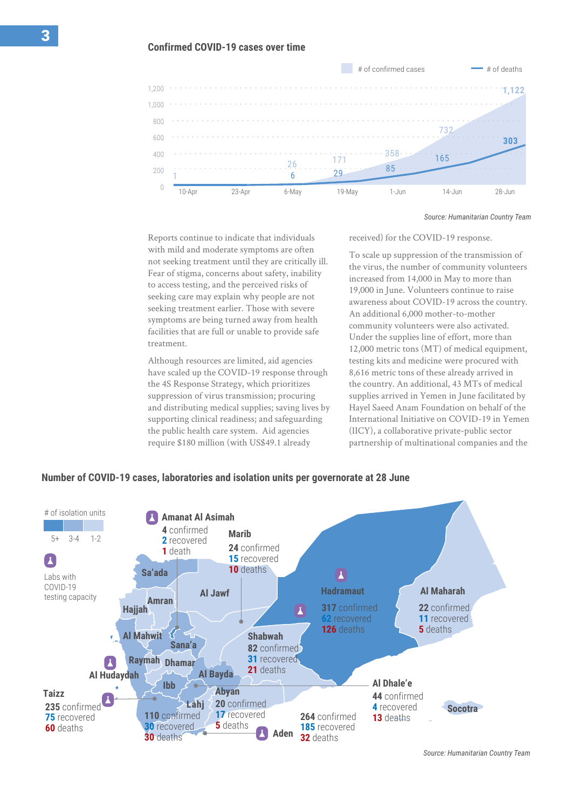

*Source: Humanitarian Country Team*

Reports continue to indicate that individuals with mild and moderate symptoms are often not seeking treatment until they are critically ill. Fear of stigma, concerns about safety, inability to access testing, and the perceived risks of seeking care may explain why people are not seeking treatment earlier. Those with severe symptoms are being turned away from health facilities that are full or unable to provide safe treatment.

Although resources are limited, aid agencies have scaled up the COVID-19 response through the 4S Response Strategy, which prioritizes suppression of virus transmission; procuring and distributing medical supplies; saving lives by supporting clinical readiness; and safeguarding the public health care system. Aid agencies require \$180 million (with US\$49.1 already

received) for the COVID-19 response.

To scale up suppression of the transmission of the virus, the number of community volunteers increased from 14,000 in May to more than 19,000 in June. Volunteers continue to raise awareness about COVID-19 across the country. An additional 6,000 mother-to-mother community volunteers were also activated. Under the supplies line of effort, more than 12,000 metric tons (MT) of medical equipment, testing kits and medicine were procured with 8,616 metric tons of these already arrived in the country. An additional, 43 MTs of medical supplies arrived in Yemen in June facilitated by Hayel Saeed Anam Foundation on behalf of the International Initiative on COVID-19 in Yemen (IICY), a collaborative private-public sector partnership of multinational companies and the

### **Number of COVID-19 cases, laboratories and isolation units per governorate at 28 June**



*Data Source: Humanitarian Country Team. Source: Humanitarian Country Team*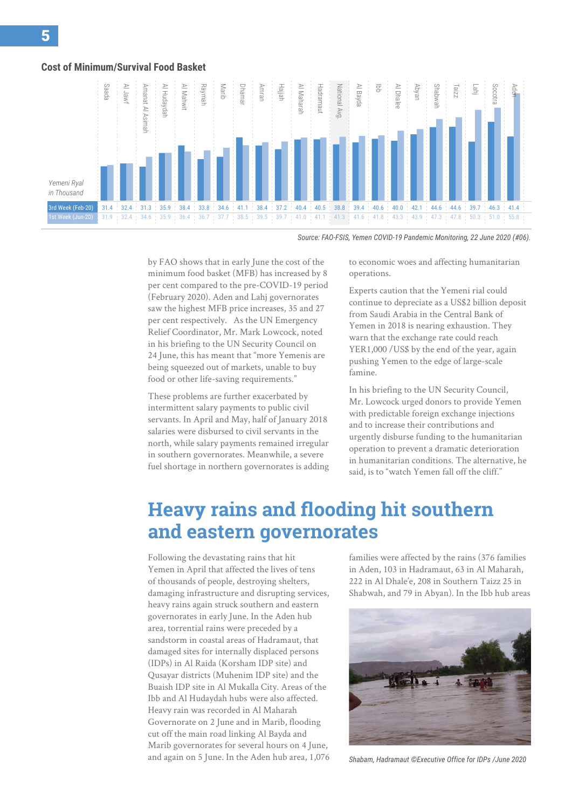#### **Cost of Minimum/Survival Food Basket**



*Source: FAO-FSIS, Yemen COVID-19 Pandemic Monitoring, 22 June 2020 (#06).* 

by FAO shows that in early June the cost of the minimum food basket (MFB) has increased by 8 per cent compared to the pre-COVID-19 period (February 2020). Aden and Lahj governorates saw the highest MFB price increases, 35 and 27 per cent respectively. As the UN Emergency Relief Coordinator, Mr. Mark Lowcock, noted in his briefing to the UN Security Council on 24 June, this has meant that "more Yemenis are being squeezed out of markets, unable to buy food or other life-saving requirements."

These problems are further exacerbated by intermittent salary payments to public civil servants. In April and May, half of January 2018 salaries were disbursed to civil servants in the north, while salary payments remained irregular in southern governorates. Meanwhile, a severe fuel shortage in northern governorates is adding to economic woes and affecting humanitarian operations.

Experts caution that the Yemeni rial could continue to depreciate as a US\$2 billion deposit from Saudi Arabia in the Central Bank of Yemen in 2018 is nearing exhaustion. They warn that the exchange rate could reach YER1,000 /US\$ by the end of the year, again pushing Yemen to the edge of large-scale famine.

In his briefing to the UN Security Council, Mr. Lowcock urged donors to provide Yemen with predictable foreign exchange injections and to increase their contributions and urgently disburse funding to the humanitarian operation to prevent a dramatic deterioration in humanitarian conditions. The alternative, he said, is to "watch Yemen fall off the cliff."

# **Heavy rains and flooding hit southern and eastern governorates**

Following the devastating rains that hit Yemen in April that affected the lives of tens of thousands of people, destroying shelters, damaging infrastructure and disrupting services, heavy rains again struck southern and eastern governorates in early June. In the Aden hub area, torrential rains were preceded by a sandstorm in coastal areas of Hadramaut, that damaged sites for internally displaced persons (IDPs) in Al Raida (Korsham IDP site) and Qusayar districts (Muhenim IDP site) and the Buaish IDP site in Al Mukalla City. Areas of the Ibb and Al Hudaydah hubs were also affected. Heavy rain was recorded in Al Maharah Governorate on 2 June and in Marib, flooding cut off the main road linking Al Bayda and Marib governorates for several hours on 4 June, and again on 5 June. In the Aden hub area, 1,076 families were affected by the rains (376 families in Aden, 103 in Hadramaut, 63 in Al Maharah, 222 in Al Dhale'e, 208 in Southern Taizz 25 in Shabwah, and 79 in Abyan). In the Ibb hub areas



*Shabam, Hadramaut ©Executive Office for IDPs /June 2020*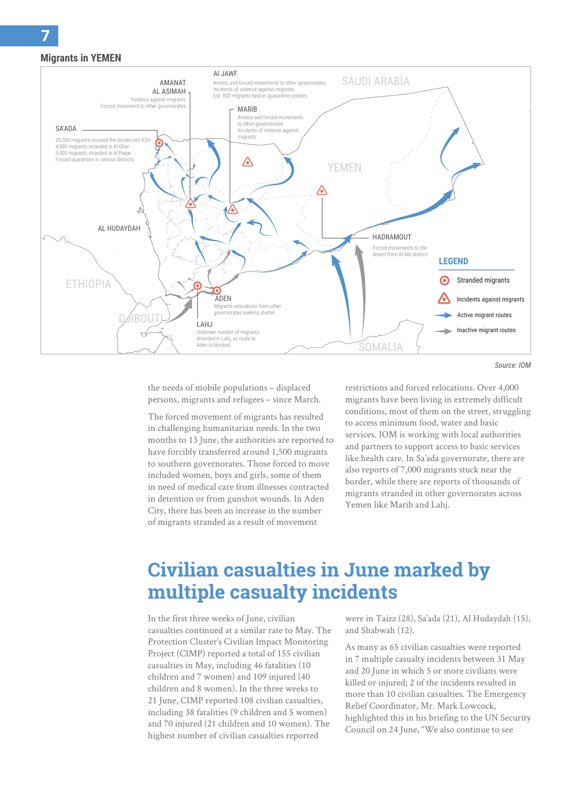### **Migrants in YEMEN**



the needs of mobile populations – displaced persons, migrants and refugees – since March.

The forced movement of migrants has resulted in challenging humanitarian needs. In the two months to 13 June, the authorities are reported to have forcibly transferred around 1,500 migrants to southern governorates. Those forced to move included women, boys and girls, some of them in need of medical care from illnesses contracted in detention or from gunshot wounds. In Aden City, there has been an increase in the number of migrants stranded as a result of movement

restrictions and forced relocations. Over 4,000 migrants have been living in extremely difficult conditions, most of them on the street, struggling to access minimum food, water and basic services. IOM is working with local authorities and partners to support access to basic services like health care. In Sa'ada governorate, there are also reports of 7,000 migrants stuck near the border, while there are reports of thousands of migrants stranded in other governorates across Yemen like Marib and Lahj.

# **Civilian casualties in June marked by multiple casualty incidents**

In the first three weeks of June, civilian casualties continued at a similar rate to May. The Protection Cluster's Civilian Impact Monitoring Project (CIMP) reported a total of 155 civilian casualties in May, including 46 fatalities (10 children and 7 women) and 109 injured (40 children and 8 women). In the three weeks to 21 June, CIMP reported 108 civilian casualties, including 38 fatalities (9 children and 5 women) and 70 injured (21 children and 10 women). The highest number of civilian casualties reported

were in Taizz (28), Sa'ada (21), Al Hudaydah (15), and Shabwah (12).

As many as 65 civilian casualties were reported in 7 multiple casualty incidents between 31 May and 20 June in which 5 or more civilians were killed or injured; 2 of the incidents resulted in more than 10 civilian casualties. The Emergency Relief Coordinator, Mr. Mark Lowcock, highlighted this in his briefing to the UN Security Council on 24 June, "We also continue to see